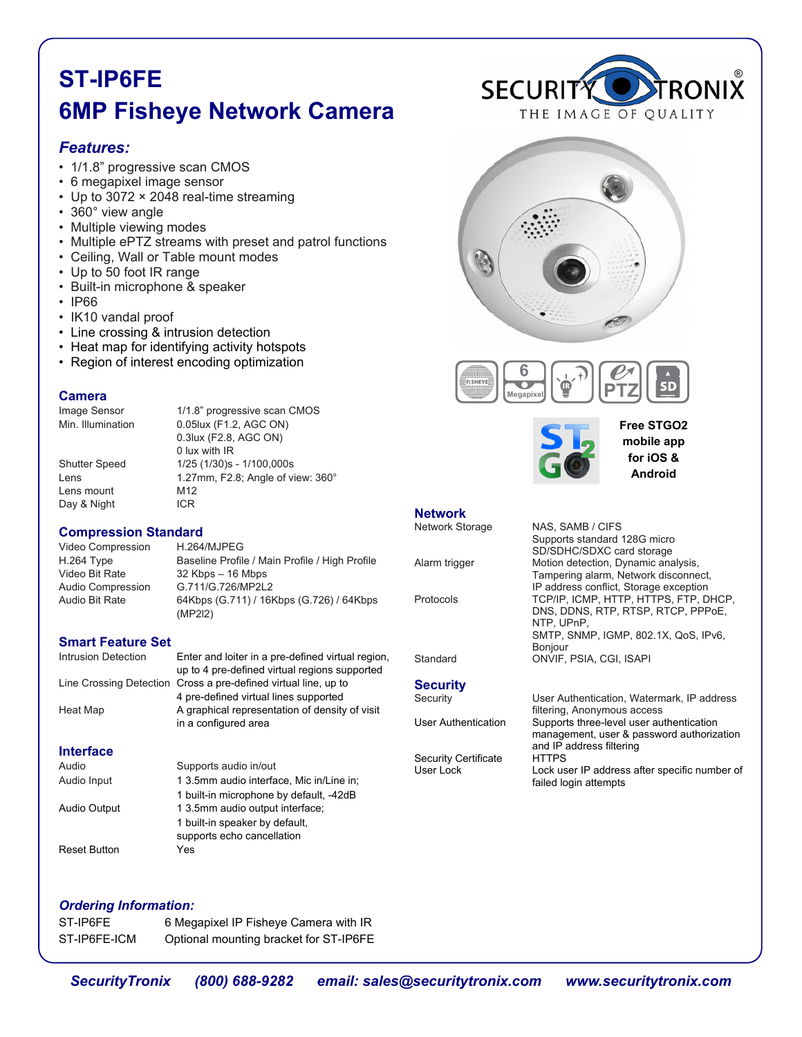# **ST-IP6FE 6MP Fisheye Network Camera**

# *Features:*

- 1/1.8" progressive scan CMOS
- 6 megapixel image sensor
- Up to 3072 × 2048 real-time streaming
- 360° view angle
- Multiple viewing modes
- Multiple ePTZ streams with preset and patrol functions
- Ceiling, Wall or Table mount modes
- Up to 50 foot IR range
- Built-in microphone & speaker
- IP66
- IK10 vandal proof
- Line crossing & intrusion detection
- Heat map for identifying activity hotspots
- Region of interest encoding optimization

### **Camera**

Image Sensor 1/1.8" progressive scan CMOS Min. Illumination 0.05lux (F1.2, AGC ON) 0.3lux (F2.8, AGC ON) 0 lux with IR<br>Shutter Speed 1/25 (1/30)s  $1/25$  (1/30)s - 1/100,000s Lens 1.27mm, F2.8; Angle of view: 360° Lens mount M12 Day & Night ICR

### **Compression Standard**

Video Compression H.264/MJPEG<br>H.264 Type Baseline Profile Baseline Profile / Main Profile / High Profile Video Bit Rate 32 Kbps – 16 Mbps Audio Compression G.711/G.726/MP2L2<br>Audio Bit Rate 64Kbps (G.711) / 16I 64Kbps (G.711) / 16Kbps (G.726) / 64Kbps (MP2l2)

## **Smart Feature Set**

Intrusion Detection Enter and loiter in a pre-defined virtual region, up to 4 pre-defined virtual regions supported Line Crossing Detection Cross a pre-defined virtual line, up to 4 pre-defined virtual lines supported Heat Map A graphical representation of density of visit in a configured area **Interface** Audio Supports audio in/out Audio Input 1 3.5mm audio interface, Mic in/Line in; 1 built-in microphone by default, -42dB

## Audio Output 1 3.5mm audio output interface; 1 built-in speaker by default, supports echo cancellation Reset Button Yes









**Free STGO2 mobile app for iOS & Android**

## **Network**

Network Storage NAS, SAMB / CIFS SD/SDHC/SDXC card storage<br>Alarm trigger Motion detection, Dynamic ana

```
Security<br>Security
```
Security Certificate<br>User Lock

Motion detection, Dynamic analysis, Tampering alarm, Network disconnect, IP address conflict, Storage exception<br>TCP/IP. ICMP. HTTP. HTTPS. FTP. D TCP/IP, ICMP, HTTP, HTTPS, FTP, DHCP, DNS, DDNS, RTP, RTSP, RTCP, PPPoE, NTP, UPnP, SMTP, SNMP, IGMP, 802.1X, QoS, IPv6, Bonjour<br>Standard CNVIF. ONVIF, PSIA, CGI, ISAPI

Supports standard 128G micro

User Authentication, Watermark, IP address filtering, Anonymous access<br>User Authentication Supports three-level user au Supports three-level user authentication management, user & password authorization and IP address filtering<br>HTTPS Lock user IP address after specific number of failed login attempts

### *Ordering Information:*

| ST-IP6FE     | 6 Megapixel IP Fisheye Camera with IR  |
|--------------|----------------------------------------|
| ST-IP6FE-ICM | Optional mounting bracket for ST-IP6FE |